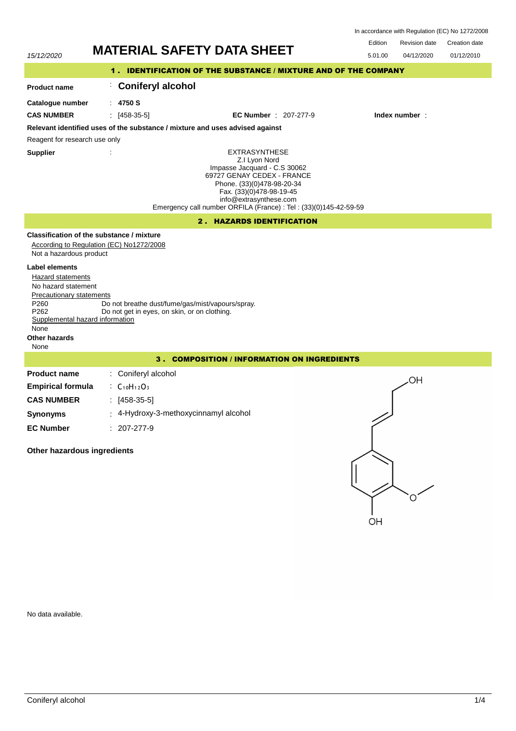| In accordance with Regulation (EC) No 1272/2008 |  |  |  |
|-------------------------------------------------|--|--|--|
|-------------------------------------------------|--|--|--|

Edition Revision date Creation date

| 15/12/2020                                                                                                                                                                                                  | <b>MATERIAL SAFETY DATA SHEET</b>                                                                |                                                                                                                                                                                                                                                              | 5.01.00<br>04/12/2020 | 01/12/2010 |  |  |  |
|-------------------------------------------------------------------------------------------------------------------------------------------------------------------------------------------------------------|--------------------------------------------------------------------------------------------------|--------------------------------------------------------------------------------------------------------------------------------------------------------------------------------------------------------------------------------------------------------------|-----------------------|------------|--|--|--|
| 1. IDENTIFICATION OF THE SUBSTANCE / MIXTURE AND OF THE COMPANY                                                                                                                                             |                                                                                                  |                                                                                                                                                                                                                                                              |                       |            |  |  |  |
| <b>Product name</b>                                                                                                                                                                                         | <b>Coniferyl alcohol</b>                                                                         |                                                                                                                                                                                                                                                              |                       |            |  |  |  |
| Catalogue number<br><b>CAS NUMBER</b>                                                                                                                                                                       | : 4750S<br>$\pm$ [458-35-5]                                                                      | <b>EC Number</b> : 207-277-9                                                                                                                                                                                                                                 | Index number:         |            |  |  |  |
|                                                                                                                                                                                                             | Relevant identified uses of the substance / mixture and uses advised against                     |                                                                                                                                                                                                                                                              |                       |            |  |  |  |
| Reagent for research use only                                                                                                                                                                               |                                                                                                  |                                                                                                                                                                                                                                                              |                       |            |  |  |  |
| <b>Supplier</b>                                                                                                                                                                                             |                                                                                                  | <b>EXTRASYNTHESE</b><br>Z.I Lyon Nord<br>Impasse Jacquard - C.S 30062<br>69727 GENAY CEDEX - FRANCE<br>Phone. (33)(0)478-98-20-34<br>Fax. (33)(0)478-98-19-45<br>info@extrasynthese.com<br>Emergency call number ORFILA (France) : Tel : (33)(0)145-42-59-59 |                       |            |  |  |  |
|                                                                                                                                                                                                             |                                                                                                  | 2. HAZARDS IDENTIFICATION                                                                                                                                                                                                                                    |                       |            |  |  |  |
| Not a hazardous product                                                                                                                                                                                     | Classification of the substance / mixture<br>According to Regulation (EC) No1272/2008            |                                                                                                                                                                                                                                                              |                       |            |  |  |  |
| <b>Label elements</b><br>Hazard statements<br>No hazard statement<br><b>Precautionary statements</b><br>P <sub>260</sub><br>P262<br>Supplemental hazard information<br>None<br><b>Other hazards</b><br>None | Do not breathe dust/fume/gas/mist/vapours/spray.<br>Do not get in eyes, on skin, or on clothing. |                                                                                                                                                                                                                                                              |                       |            |  |  |  |
|                                                                                                                                                                                                             |                                                                                                  | 3. COMPOSITION / INFORMATION ON INGREDIENTS                                                                                                                                                                                                                  |                       |            |  |  |  |
| <b>Product name</b>                                                                                                                                                                                         | Coniferyl alcohol                                                                                |                                                                                                                                                                                                                                                              | OH                    |            |  |  |  |
| <b>Empirical formula</b>                                                                                                                                                                                    | : $C_{10}H_{12}O_3$                                                                              |                                                                                                                                                                                                                                                              |                       |            |  |  |  |
| <b>CAS NUMBER</b>                                                                                                                                                                                           | $[458-35-5]$                                                                                     |                                                                                                                                                                                                                                                              |                       |            |  |  |  |
| <b>Synonyms</b>                                                                                                                                                                                             | 4-Hydroxy-3-methoxycinnamyl alcohol                                                              |                                                                                                                                                                                                                                                              |                       |            |  |  |  |
| <b>EC Number</b>                                                                                                                                                                                            | $: 207-277-9$                                                                                    |                                                                                                                                                                                                                                                              |                       |            |  |  |  |
| Other hazardous ingredients                                                                                                                                                                                 |                                                                                                  |                                                                                                                                                                                                                                                              |                       |            |  |  |  |

No data available.

 $\overline{O}H$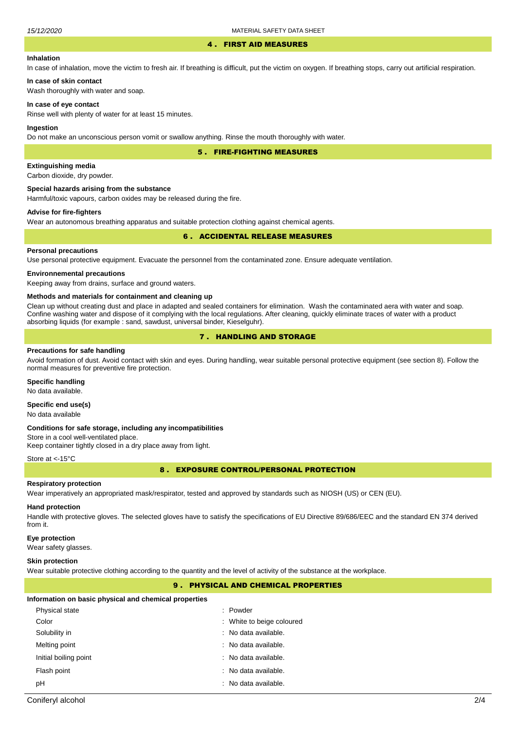#### 4 . FIRST AID MEASURES

## **Inhalation**

In case of inhalation, move the victim to fresh air. If breathing is difficult, put the victim on oxygen. If breathing stops, carry out artificial respiration.

# **In case of skin contact**

Wash thoroughly with water and soap.

## **In case of eye contact**

Rinse well with plenty of water for at least 15 minutes.

#### **Ingestion**

Do not make an unconscious person vomit or swallow anything. Rinse the mouth thoroughly with water.

5 . FIRE-FIGHTING MEASURES

## **Extinguishing media**

Carbon dioxide, dry powder.

#### **Special hazards arising from the substance**

Harmful/toxic vapours, carbon oxides may be released during the fire.

## **Advise for fire-fighters**

Wear an autonomous breathing apparatus and suitable protection clothing against chemical agents.

## 6 . ACCIDENTAL RELEASE MEASURES

## **Personal precautions**

Use personal protective equipment. Evacuate the personnel from the contaminated zone. Ensure adequate ventilation.

## **Environnemental precautions**

Keeping away from drains, surface and ground waters.

#### **Methods and materials for containment and cleaning up**

Clean up without creating dust and place in adapted and sealed containers for elimination. Wash the contaminated aera with water and soap. Confine washing water and dispose of it complying with the local regulations. After cleaning, quickly eliminate traces of water with a product absorbing liquids (for example : sand, sawdust, universal binder, Kieselguhr).

# 7 . HANDLING AND STORAGE

## **Precautions for safe handling**

Avoid formation of dust. Avoid contact with skin and eyes. During handling, wear suitable personal protective equipment (see section 8). Follow the normal measures for preventive fire protection.

## **Specific handling**

No data available.

# **Specific end use(s)**

No data available

#### **Conditions for safe storage, including any incompatibilities**

Store in a cool well-ventilated place. Keep container tightly closed in a dry place away from light.

#### Store at <- 15°C

8 . EXPOSURE CONTROL/PERSONAL PROTECTION

## **Respiratory protection**

Wear imperatively an appropriated mask/respirator, tested and approved by standards such as NIOSH (US) or CEN (EU).

# **Hand protection**

Handle with protective gloves. The selected gloves have to satisfy the specifications of EU Directive 89/686/EEC and the standard EN 374 derived from it.

### **Eye protection**

Wear safety glasses.

#### **Skin protection**

Wear suitable protective clothing according to the quantity and the level of activity of the substance at the workplace.

# 9 . PHYSICAL AND CHEMICAL PROPERTIES

#### **Information on basic physical and chemical properties**

| Physical state        | : Powder                  |
|-----------------------|---------------------------|
| Color                 | : White to beige coloured |
| Solubility in         | : No data available.      |
| Melting point         | : No data available.      |
| Initial boiling point | : No data available.      |
| Flash point           | : No data available.      |
| рH                    | : No data available.      |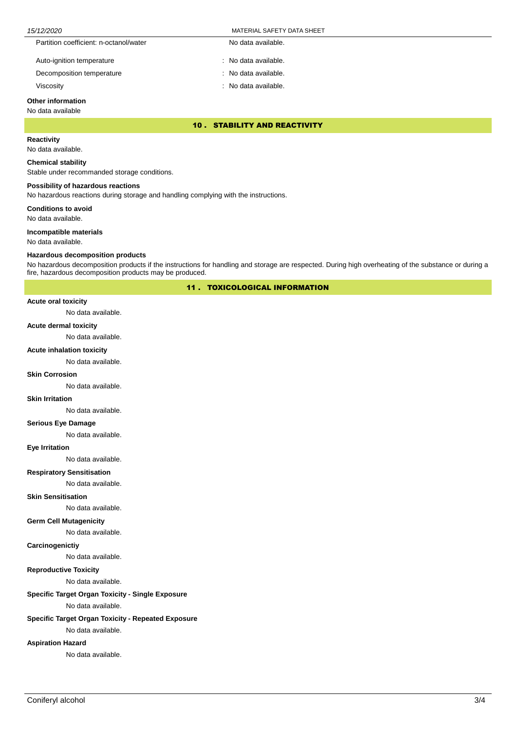| 15/12/2020 |                                        | MATERIAL SAFETY DATA SHEET |  |
|------------|----------------------------------------|----------------------------|--|
|            | Partition coefficient: n-octanol/water | No data available.         |  |
|            | Auto-ignition temperature              | : No data available.       |  |
|            | Decomposition temperature              | : No data available.       |  |

Viscosity : No data available.

# **Other information**

# No data available

10 . STABILITY AND REACTIVITY

# **Reactivity**

No data available.

## **Chemical stability**

Stable under recommanded storage conditions.

## **Possibility of hazardous reactions**

No hazardous reactions during storage and handling complying with the instructions.

**Conditions to avoid**

No data available.

## **Incompatible materials**

No data available.

## **Hazardous decomposition products**

No hazardous decomposition products if the instructions for handling and storage are respected. During high overheating of the substance or during a fire, hazardous decomposition products may be produced.

11 . TOXICOLOGICAL INFORMATION

#### **Acute oral toxicity**

No data available.

## **Acute dermal toxicity**

No data available.

## **Acute inhalation toxicity**

No data available.

## **Skin Corrosion**

No data available.

#### **Skin Irritation**

No data available.

## **Serious Eye Damage**

No data available.

## **Eye Irritation**

No data available.

# **Respiratory Sensitisation**

No data available.

# **Skin Sensitisation**

No data available.

## **Germ Cell Mutagenicity**

No data available.

## **Carcinogenictiy**

No data available.

# **Reproductive Toxicity**

No data available.

# **Specific Target Organ Toxicity - Single Exposure**

No data available.

# **Specific Target Organ Toxicity - Repeated Exposure**

No data available.

# **Aspiration Hazard**

No data available.